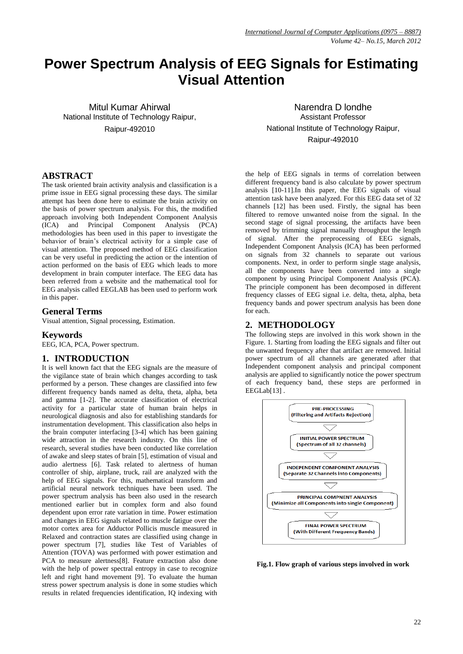# **Power Spectrum Analysis of EEG Signals for Estimating Visual Attention**

Mitul Kumar Ahirwal National Institute of Technology Raipur, Raipur-492010

**ABSTRACT**

The task oriented brain activity analysis and classification is a prime issue in EEG signal processing these days. The similar attempt has been done here to estimate the brain activity on the basis of power spectrum analysis. For this, the modified approach involving both Independent Component Analysis (ICA) and Principal Component Analysis (PCA) methodologies has been used in this paper to investigate the behavior of brain's electrical activity for a simple case of visual attention. The proposed method of EEG classification can be very useful in predicting the action or the intention of action performed on the basis of EEG which leads to more development in brain computer interface. The EEG data has been referred from a website and the mathematical tool for EEG analysis called EEGLAB has been used to perform work in this paper.

## **General Terms**

Visual attention, Signal processing, Estimation.

#### **Keywords**

EEG, ICA, PCA, Power spectrum.

## **1. INTRODUCTION**

It is well known fact that the EEG signals are the measure of the vigilance state of brain which changes according to task performed by a person. These changes are classified into few different frequency bands named as delta, theta, alpha, beta and gamma [1-2]. The accurate classification of electrical activity for a particular state of human brain helps in neurological diagnosis and also for establishing standards for instrumentation development. This classification also helps in the brain computer interfacing [3-4] which has been gaining wide attraction in the research industry. On this line of research, several studies have been conducted like correlation of awake and sleep states of brain [5], estimation of visual and audio alertness [6]. Task related to alertness of human controller of ship, airplane, truck, rail are analyzed with the help of EEG signals. For this, mathematical transform and artificial neural network techniques have been used. The power spectrum analysis has been also used in the research mentioned earlier but in complex form and also found dependent upon error rate variation in time. Power estimation and changes in EEG signals related to muscle fatigue over the motor cortex area for Adductor Pollicis muscle measured in Relaxed and contraction states are classified using change in power spectrum [7], studies like Test of Variables of Attention (TOVA) was performed with power estimation and PCA to measure alertness[8]. Feature extraction also done with the help of power spectral entropy in case to recognize left and right hand movement [9]. To evaluate the human stress power spectrum analysis is done in some studies which results in related frequencies identification, IQ indexing with

Narendra D londhe Assistant Professor National Institute of Technology Raipur, Raipur-492010

the help of EEG signals in terms of correlation between different frequency band is also calculate by power spectrum analysis [10-11].In this paper, the EEG signals of visual attention task have been analyzed. For this EEG data set of 32 channels [12] has been used. Firstly, the signal has been filtered to remove unwanted noise from the signal. In the second stage of signal processing, the artifacts have been removed by trimming signal manually throughput the length of signal. After the preprocessing of EEG signals, Independent Component Analysis (ICA) has been performed on signals from 32 channels to separate out various components. Next, in order to perform single stage analysis, all the components have been converted into a single component by using Principal Component Analysis (PCA). The principle component has been decomposed in different frequency classes of EEG signal i.e. delta, theta, alpha, beta frequency bands and power spectrum analysis has been done for each.

# **2. METHODOLOGY**

The following steps are involved in this work shown in the Figure. 1. Starting from loading the EEG signals and filter out the unwanted frequency after that artifact are removed. Initial power spectrum of all channels are generated after that Independent component analysis and principal component analysis are applied to significantly notice the power spectrum of each frequency band, these steps are performed in EEGLab[13].



**Fig.1. Flow graph of various steps involved in work**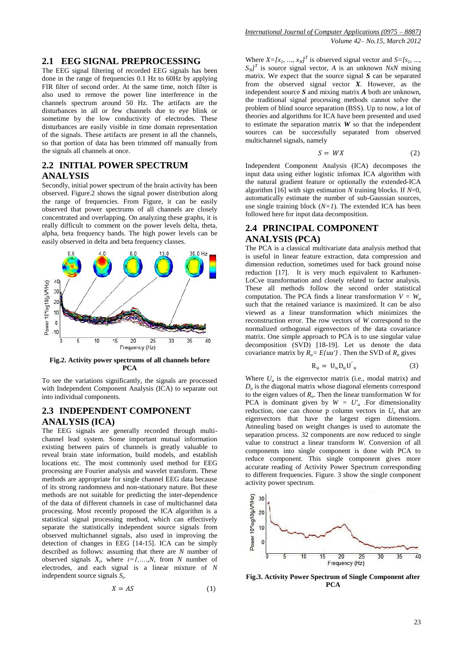#### **2.1 EEG SIGNAL PREPROCESSING**

The EEG signal filtering of recorded EEG signals has been done in the range of frequencies 0.1 Hz to 60Hz by applying FIR filter of second order. At the same time, notch filter is also used to remove the power line interference in the channels spectrum around 50 Hz. The artifacts are the disturbances in all or few channels due to eye blink or sometime by the low conductivity of electrodes. These disturbances are easily visible in time domain representation of the signals. These artifacts are present in all the channels, so that portion of data has been trimmed off manually from the signals all channels at once.

## **2.2 INITIAL POWER SPECTRUM ANALYSIS**

Secondly, initial power spectrum of the brain activity has been observed. Figure.2 shows the signal power distribution along the range of frequencies. From Figure, it can be easily observed that power spectrums of all channels are closely concentrated and overlapping. On analyzing these graphs, it is really difficult to comment on the power levels delta, theta, alpha, beta frequency bands. The high power levels can be easily observed in delta and beta frequency classes.



**Fig.2. Activity power spectrums of all channels before PCA**

To see the variations significantly, the signals are processed with Independent Component Analysis (ICA) to separate out into individual components.

#### **2.3 INDEPENDENT COMPONENT ANALYSIS (ICA)**

The EEG signals are generally recorded through multichannel lead system. Some important mutual information existing between pairs of channels is greatly valuable to reveal brain state information, build models, and establish locations etc. The most commonly used method for EEG processing are Fourier analysis and wavelet transform. These methods are appropriate for single channel EEG data because of its strong randomness and non-stationary nature. But these methods are not suitable for predicting the inter-dependence of the data of different channels in case of multichannel data processing. Most recently proposed the ICA algorithm is a statistical signal processing method, which can effectively separate the statistically independent source signals from observed multichannel signals, also used in improving the detection of changes in EEG [14-15]. ICA can be simply described as follows: assuming that there are *N* number of observed signals  $X_i$ , where  $i=1,...,N$ , from N number of electrodes, and each signal is a linear mixture of *N* independent source signals *S<sup>i</sup>* .

$$
X = AS \tag{1}
$$

Where  $X = [x_1, ..., x_N]^T$  is observed signal vector and  $S = [s_1, ..., s_N]^T$  $S_N$ <sup>T</sup> is source signal vector, *A* is an unknown *NxN* mixing matrix. We expect that the source signal *S* can be separated from the observed signal vector  $X$ . However, as the independent source *S* and mixing matrix *A* both are unknown, the traditional signal processing methods cannot solve the problem of blind source separation (BSS). Up to now, a lot of theories and algorithms for ICA have been presented and used to estimate the separation matrix *W* so that the independent sources can be successfully separated from observed multichannel signals, namely

$$
S = W X \tag{2}
$$

Independent Component Analysis (ICA) decomposes the input data using either logistic infomax ICA algorithm with the natural gradient feature or optionally the extended-ICA algorithm [16] with sign estimation *N* training blocks. If  $N=0$ , automatically estimate the number of sub-Gaussian sources, use single training block  $(N=1)$ . The extended ICA has been followed here for input data decomposition.

## **2.4 PRINCIPAL COMPONENT ANALYSIS (PCA)**

The PCA is a classical multivariate data analysis method that is useful in linear feature extraction, data compression and dimension reduction, sometimes used for back ground noise reduction [17]. It is very much equivalent to Karhunen-LoCve transformation and closely related to factor analysis. These all methods follow the second order statistical computation. The PCA finds a linear transformation  $V = W_u$ such that the retained variance is maximized. It can be also viewed as a linear transformation which minimizes the reconstruction error. The row vectors of *W* correspond to the normalized orthogonal eigenvectors of the data covariance matrix. One simple approach to PCA is to use singular value decomposition (SVD) [18-19]. Let us denote the data covariance matrix by  $R_u = E/uu'$ . Then the SVD of  $R_u$  gives

$$
R_u = U_u D_u U'_u \tag{3}
$$

Where  $U_u$  is the eigenvector matrix (i.e., modal matrix) and  $D<sub>u</sub>$  is the diagonal matrix whose diagonal elements correspond to the eigen values of  $R_u$ . Then the linear transformation W for PCA is dominant given by  $W = U'_u$ . For dimensionality reduction, one can choose p column vectors in  $U_u$  that are eigenvectors that have the largest eigen dimensions. Annealing based on weight changes is used to automate the separation process. 32 components are now reduced to single value to construct a linear transform *W*. Conversion of all components into single component is done with PCA to reduce component. This single component gives more accurate reading of Activity Power Spectrum corresponding to different frequencies. Figure. 3 show the single component activity power spectrum.



**Fig.3. Activity Power Spectrum of Single Component after PCA**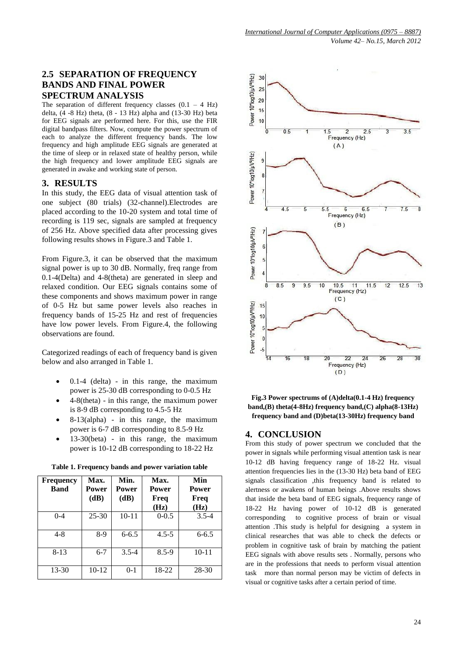# **2.5 SEPARATION OF FREQUENCY BANDS AND FINAL POWER SPECTRUM ANALYSIS**

The separation of different frequency classes  $(0.1 - 4$  Hz) delta, (4 -8 Hz) theta, (8 - 13 Hz) alpha and (13-30 Hz) beta for EEG signals are performed here. For this, use the FIR digital bandpass filters. Now, compute the power spectrum of each to analyze the different frequency bands. The low frequency and high amplitude EEG signals are generated at the time of sleep or in relaxed state of healthy person, while the high frequency and lower amplitude EEG signals are generated in awake and working state of person.

## **3. RESULTS**

In this study, the EEG data of visual attention task of one subject (80 trials) (32-channel).Electrodes are placed according to the 10-20 system and total time of recording is 119 sec, signals are sampled at frequency of 256 Hz. Above specified data after processing gives following results shows in Figure.3 and Table 1.

From Figure.3, it can be observed that the maximum signal power is up to 30 dB. Normally, freq range from 0.1-4(Delta) and 4-8(theta) are generated in sleep and relaxed condition. Our EEG signals contains some of these components and shows maximum power in range of 0-5 Hz but same power levels also reaches in frequency bands of 15-25 Hz and rest of frequencies have low power levels. From Figure.4, the following observations are found.

Categorized readings of each of frequency band is given below and also arranged in Table 1.

- 0.1-4 (delta) in this range, the maximum power is 25-30 dB corresponding to 0-0.5 Hz
- 4-8(theta) in this range, the maximum power is 8-9 dB corresponding to 4.5-5 Hz
- 8-13(alpha) in this range, the maximum power is 6-7 dB corresponding to 8.5-9 Hz
- 13-30(beta) in this range, the maximum power is 10-12 dB corresponding to 18-22 Hz

| <b>Frequency</b><br><b>Band</b> | Max.<br>Power<br>(dB) | Min.<br><b>Power</b><br>(dB) | Max.<br><b>Power</b><br>Freq<br>(Hz) | Min<br><b>Power</b><br>Freq<br>(Hz) |
|---------------------------------|-----------------------|------------------------------|--------------------------------------|-------------------------------------|
| $0 - 4$                         | $25 - 30$             | $10 - 11$                    | $0 - 0.5$                            | $3.5 - 4$                           |
| $4 - 8$                         | 8-9                   | $6 - 6.5$                    | $4.5 - 5$                            | $6 - 6.5$                           |
| $8-13$                          | $6 - 7$               | $3.5 - 4$                    | $8.5 - 9$                            | $10 - 11$                           |
| 13-30                           | 10-12                 | $0 - 1$                      | 18-22                                | 28-30                               |

**Table 1. Frequency bands and power variation table**



**Fig.3 Power spectrums of (A)delta(0.1-4 Hz) frequency band,(B) theta(4-8Hz) frequency band,(C) alpha(8-13Hz) frequency band and (D)beta(13-30Hz) frequency band**

## **4. CONCLUSION**

From this study of power spectrum we concluded that the power in signals while performing visual attention task is near 10-12 dB having frequency range of 18-22 Hz. visual attention frequencies lies in the (13-30 Hz) beta band of EEG signals classification ,this frequency band is related to alertness or awakens of human beings .Above results shows that inside the beta band of EEG signals, frequency range of 18-22 Hz having power of 10-12 dB is generated corresponding to cognitive process of brain or visual attention .This study is helpful for designing a system in clinical researches that was able to check the defects or problem in cognitive task of brain by matching the patient EEG signals with above results sets . Normally, persons who are in the professions that needs to perform visual attention task more than normal person may be victim of defects in visual or cognitive tasks after a certain period of time.